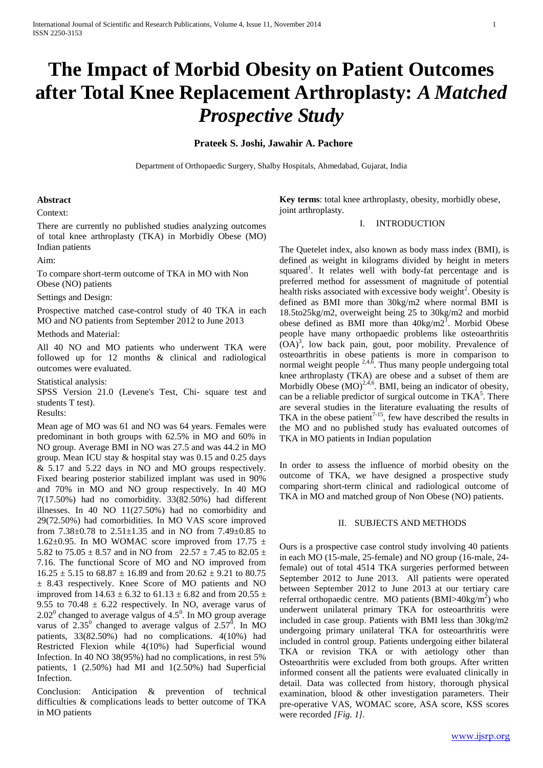# **The Impact of Morbid Obesity on Patient Outcomes after Total Knee Replacement Arthroplasty:** *A Matched Prospective Study*

## **Prateek S. Joshi, Jawahir A. Pachore**

Department of Orthopaedic Surgery, Shalby Hospitals, Ahmedabad, Gujarat, India

# **Abstract**

Context:

There are currently no published studies analyzing outcomes of total knee arthroplasty (TKA) in Morbidly Obese (MO) Indian patients

Aim:

To compare short-term outcome of TKA in MO with Non Obese (NO) patients

Settings and Design:

Prospective matched case-control study of 40 TKA in each MO and NO patients from September 2012 to June 2013

Methods and Material:

All 40 NO and MO patients who underwent TKA were followed up for 12 months & clinical and radiological outcomes were evaluated.

Statistical analysis:

SPSS Version 21.0 (Levene's Test, Chi- square test and students T test). Results:

Mean age of MO was 61 and NO was 64 years. Females were predominant in both groups with 62.5% in MO and 60% in NO group. Average BMI in NO was 27.5 and was 44.2 in MO group. Mean ICU stay & hospital stay was 0.15 and 0.25 days & 5.17 and 5.22 days in NO and MO groups respectively. Fixed bearing posterior stabilized implant was used in 90% and 70% in MO and NO group respectively. In 40 MO 7(17.50%) had no comorbidity. 33(82.50%) had different illnesses. In 40 NO 11(27.50%) had no comorbidity and 29(72.50%) had comorbidities. In MO VAS score improved from  $7.38 \pm 0.78$  to  $2.51 \pm 1.35$  and in NO from  $7.49 \pm 0.85$  to 1.62 $\pm$ 0.95. In MO WOMAC score improved from 17.75  $\pm$ 5.82 to 75.05  $\pm$  8.57 and in NO from 22.57  $\pm$  7.45 to 82.05  $\pm$ 7.16. The functional Score of MO and NO improved from  $16.25 \pm 5.15$  to  $68.87 \pm 16.89$  and from  $20.62 \pm 9.21$  to  $80.75$ ± 8.43 respectively. Knee Score of MO patients and NO improved from 14.63  $\pm$  6.32 to 61.13  $\pm$  6.82 and from 20.55  $\pm$ 9.55 to 70.48  $\pm$  6.22 respectively. In NO, average varus of  $2.02^{\circ}$  changed to average valgus of 4.5 $^{\circ}$ . In MO group average varus of  $2.35^{\circ}$  changed to average valgus of  $2.57^{\circ}$ . In MO patients, 33(82.50%) had no complications. 4(10%) had Restricted Flexion while 4(10%) had Superficial wound Infection. In 40 NO 38(95%) had no complications, in rest 5% patients, 1 (2.50%) had MI and 1(2.50%) had Superficial Infection.

Conclusion: Anticipation & prevention of technical difficulties & complications leads to better outcome of TKA in MO patients

**Key terms**: total knee arthroplasty, obesity, morbidly obese, joint arthroplasty.

# I. INTRODUCTION

The Quetelet index, also known as body mass index (BMI), is defined as weight in kilograms divided by height in meters squared<sup>1</sup>. It relates well with body-fat percentage and is preferred method for assessment of magnitude of potential health risks associated with excessive body weight<sup>2</sup>. Obesity is defined as BMI more than 30kg/m2 where normal BMI is 18.5to25kg/m2, overweight being 25 to 30kg/m2 and morbid obese defined as BMI more than  $40\text{kg/m2}^{\text{T}}$ . Morbid Obese people have many orthopaedic problems like osteoarthritis  $(OA)<sup>3</sup>$ , low back pain, gout, poor mobility. Prevalence of osteoarthritis in obese patients is more in comparison to normal weight people  $2,4,6$ . Thus many people undergoing total knee arthroplasty (TKA) are obese and a subset of them are Morbidly Obese  $(MO)^{2,4,6}$ . BMI, being an indicator of obesity, can be a reliable predictor of surgical outcome in TKA<sup>5</sup>. There are several studies in the literature evaluating the results of TKA in the obese patient<sup>7-15</sup>, few have described the results in the MO and no published study has evaluated outcomes of TKA in MO patients in Indian population

In order to assess the influence of morbid obesity on the outcome of TKA, we have designed a prospective study comparing short-term clinical and radiological outcome of TKA in MO and matched group of Non Obese (NO) patients.

## II. SUBJECTS AND METHODS

Ours is a prospective case control study involving 40 patients in each MO (15-male, 25-female) and NO group (16-male, 24 female) out of total 4514 TKA surgeries performed between September 2012 to June 2013. All patients were operated between September 2012 to June 2013 at our tertiary care referral orthopaedic centre. MO patients  $(BMI>40kg/m^2)$  who underwent unilateral primary TKA for osteoarthritis were included in case group. Patients with BMI less than 30kg/m2 undergoing primary unilateral TKA for osteoarthritis were included in control group. Patients undergoing either bilateral TKA or revision TKA or with aetiology other than Osteoarthritis were excluded from both groups. After written informed consent all the patients were evaluated clinically in detail. Data was collected from history, thorough physical examination, blood & other investigation parameters. Their pre-operative VAS, WOMAC score, ASA score, KSS scores were recorded *[Fig. 1].*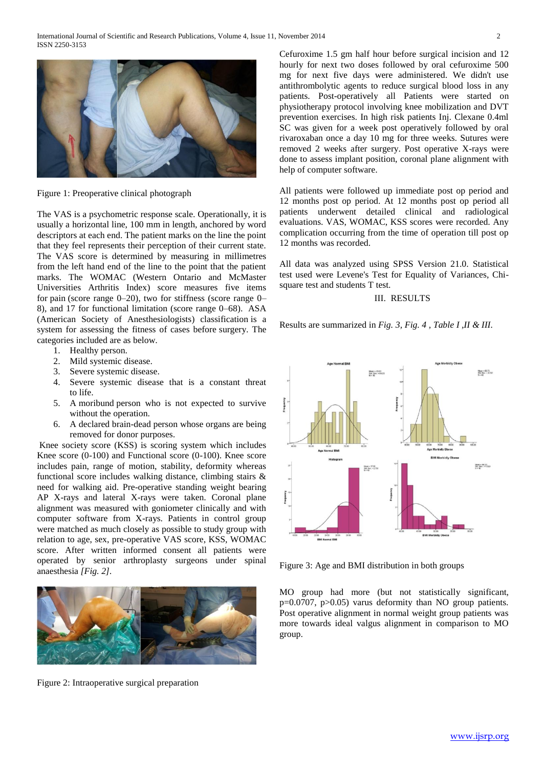

Figure 1: Preoperative clinical photograph

The VAS is a psychometric response scale. Operationally, it is usually a horizontal line, 100 mm in length, anchored by word descriptors at each end. The patient marks on the line the point that they feel represents their perception of their current state. The VAS score is determined by measuring in millimetres from the left hand end of the line to the point that the patient marks. The WOMAC (Western Ontario and McMaster Universities Arthritis Index) score measures five items for pain (score range 0–20), two for stiffness (score range 0– 8), and 17 for functional limitation (score range 0–68). ASA (American Society of Anesthesiologists) classification is a system for assessing the fitness of cases before surgery. The categories included are as below.

- 1. Healthy person.
- 2. Mild systemic disease.
- 3. Severe systemic disease.
- 4. Severe systemic disease that is a constant threat to life.
- 5. A moribund person who is not expected to survive without the operation.
- 6. A declared brain-dead person whose organs are being removed for donor purposes.

Knee society score (KSS) is scoring system which includes Knee score (0-100) and Functional score (0-100). Knee score includes pain, range of motion, stability, deformity whereas functional score includes walking distance, climbing stairs & need for walking aid. Pre-operative standing weight bearing AP X-rays and lateral X-rays were taken. Coronal plane alignment was measured with goniometer clinically and with computer software from X-rays. Patients in control group were matched as much closely as possible to study group with relation to age, sex, pre-operative VAS score, KSS, WOMAC score. After written informed consent all patients were operated by senior arthroplasty surgeons under spinal anaesthesia *[Fig. 2].*



Figure 2: Intraoperative surgical preparation

Cefuroxime 1.5 gm half hour before surgical incision and 12 hourly for next two doses followed by oral cefuroxime 500 mg for next five days were administered. We didn't use antithrombolytic agents to reduce surgical blood loss in any patients. Post-operatively all Patients were started on physiotherapy protocol involving knee mobilization and DVT prevention exercises. In high risk patients Inj. Clexane 0.4ml SC was given for a week post operatively followed by oral rivaroxaban once a day 10 mg for three weeks. Sutures were removed 2 weeks after surgery. Post operative X-rays were done to assess implant position, coronal plane alignment with help of computer software.

All patients were followed up immediate post op period and 12 months post op period. At 12 months post op period all patients underwent detailed clinical and radiological evaluations. VAS, WOMAC, KSS scores were recorded. Any complication occurring from the time of operation till post op 12 months was recorded.

All data was analyzed using SPSS Version 21.0. Statistical test used were Levene's Test for Equality of Variances, Chisquare test and students T test.

## III. RESULTS

Results are summarized in *Fig. 3, Fig. 4 , Table I ,II & III.*



Figure 3: Age and BMI distribution in both groups

MO group had more (but not statistically significant, p=0.0707, p>0.05) varus deformity than NO group patients. Post operative alignment in normal weight group patients was more towards ideal valgus alignment in comparison to MO group.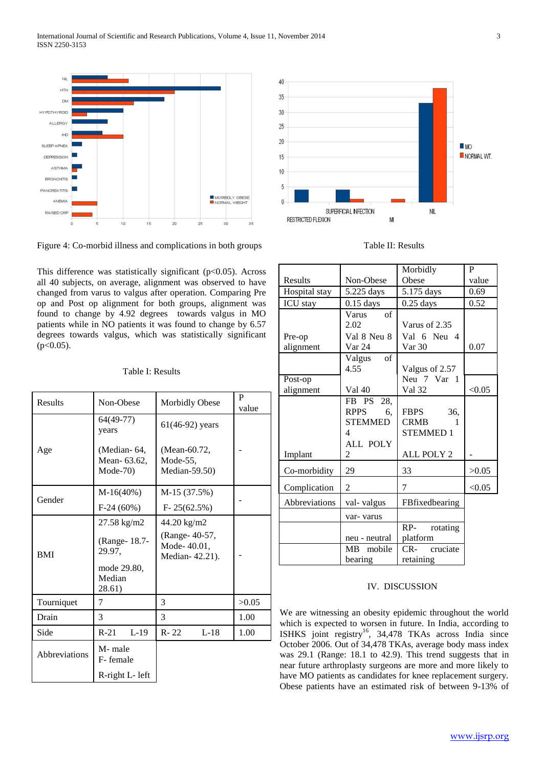

Figure 4: Co-morbid illness and complications in both groups

This difference was statistically significant ( $p$ <0.05). Across all 40 subjects, on average, alignment was observed to have changed from varus to valgus after operation. Comparing Pre op and Post op alignment for both groups, alignment was found to change by 4.92 degrees towards valgus in MO patients while in NO patients it was found to change by 6.57 degrees towards valgus, which was statistically significant  $(p<0.05)$ .

|  | Table I: Results |  |
|--|------------------|--|
|  |                  |  |

| <b>Results</b> | Non-Obese                               | <b>Morbidly Obese</b>                           | P<br>value |
|----------------|-----------------------------------------|-------------------------------------------------|------------|
|                | $64(49-77)$<br>years                    | $61(46-92)$ years                               |            |
| Age            | (Median-64,<br>Mean-63.62,<br>$Mode-70$ | (Mean-60.72,<br>Mode-55,<br>Median-59.50)       |            |
| Gender         | $M-16(40%)$                             | M-15 (37.5%)                                    |            |
|                | $F-24(60%)$                             | $F-25(62.5%)$                                   |            |
| <b>BMI</b>     | 27.58 kg/m2                             | 44.20 kg/m2                                     |            |
|                | (Range-18.7-<br>29.97,                  | (Range- 40-57,<br>Mode-40.01,<br>Median-42.21). |            |
|                | mode 29.80,<br>Median<br>28.61)         |                                                 |            |
| Tourniquet     | 7                                       | 3                                               | >0.05      |
| Drain          | 3                                       | 3                                               | 1.00       |
| Side           | $L-19$<br>$R-21$                        | $L-18$<br>$R - 22$                              | 1.00       |
| Abbreviations  | M-male<br>F-female                      |                                                 |            |
|                | R-right L- left                         |                                                 |            |



Table II: Results

|                      |                                                                              | Morbidly                                                                | P      |
|----------------------|------------------------------------------------------------------------------|-------------------------------------------------------------------------|--------|
| Results              | Non-Obese                                                                    | Obese                                                                   | value  |
| Hospital stay        | 5.225 days                                                                   | 5.175 days                                                              | 0.69   |
| ICU stay             | $0.15$ days                                                                  | $0.25$ days                                                             | 0.52   |
| Pre-op<br>alignment  | $\circ$ of<br>Varus<br>2.02<br>Val 8 Neu 8<br>Var 24                         | Varus of 2.35<br>Val 6 Neu 4<br>Var 30                                  | 0.07   |
|                      | of<br>Valgus<br>4.55                                                         | Valgus of 2.57                                                          |        |
| Post-op<br>alignment | Val 40                                                                       | Neu 7 Var 1<br>Val 32                                                   | < 0.05 |
| Implant              | FB PS 28,<br>RPPS<br>6.<br><b>STEMMED</b><br>4<br>ALL POLY<br>$\overline{2}$ | <b>FBPS</b><br>36,<br><b>CRMB</b><br>1<br><b>STEMMED1</b><br>ALL POLY 2 |        |
| Co-morbidity         | 29                                                                           | 33                                                                      | >0.05  |
| Complication         | $\overline{c}$                                                               | 7                                                                       | < 0.05 |
| Abbreviations        | val-valgus<br>var- varus                                                     | FBfixedbearing<br>$RP-$<br>rotating                                     |        |
|                      | neu - neutral<br>MB mobile<br>bearing                                        | platform<br>CR- cruciate<br>retaining                                   |        |

# IV. DISCUSSION

We are witnessing an obesity epidemic throughout the world which is expected to worsen in future. In India, according to ISHKS joint registry<sup>16</sup>, 34,478 TKAs across India since October 2006. Out of 34,478 TKAs, average body mass index was 29.1 (Range: 18.1 to 42.9). This trend suggests that in near future arthroplasty surgeons are more and more likely to have MO patients as candidates for knee replacement surgery. Obese patients have an estimated risk of between 9-13% of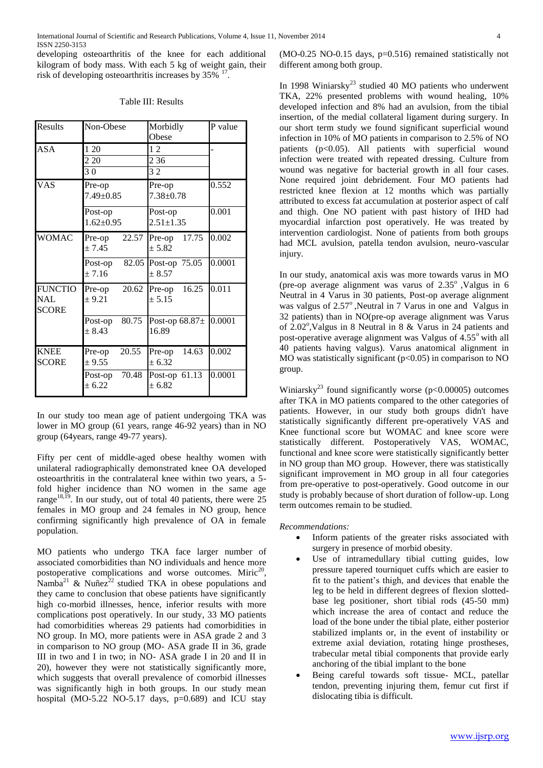developing osteoarthritis of the knee for each additional kilogram of body mass. With each 5 kg of weight gain, their risk of developing osteoarthritis increases by  $35\%$ <sup>17</sup>.

| Table III: Results |  |
|--------------------|--|
|--------------------|--|

| Results                                      | Non-Obese                   | Morbidly<br>Obese              | P value |
|----------------------------------------------|-----------------------------|--------------------------------|---------|
| ASA                                          | 1 20<br>2 20<br>30          | 12<br>2 3 6<br>32              |         |
| <b>VAS</b>                                   | Pre-op<br>7.49±0.85         | Pre-op<br>$7.38 \pm 0.78$      | 0.552   |
|                                              | Post-op<br>$1.62 \pm 0.95$  | Post-op<br>$2.51 \pm 1.35$     | 0.001   |
| <b>WOMAC</b>                                 | 22.57<br>Pre-op<br>± 7.45   | Pre-op 17.75<br>$+5.82$        | 0.002   |
|                                              | Post-op<br>± 7.16           | 82.05 Post-op 75.05<br>$+8.57$ | 0.0001  |
| <b>FUNCTIO</b><br><b>NAL</b><br><b>SCORE</b> | 20.62<br>Pre-op<br>$+9.21$  | Pre-op $16.25$<br>± 5.15       | 0.011   |
|                                              | 80.75<br>Post-op<br>$+8.43$ | Post-op $68.87\pm$<br>16.89    | 0.0001  |
| <b>KNEE</b><br><b>SCORE</b>                  | 20.55<br>Pre-op<br>± 9.55   | Pre-op $14.63$<br>± 6.32       | 0.002   |
|                                              | Post-op 70.48<br>± 6.22     | Post-op 61.13<br>± 6.82        | 0.0001  |

In our study too mean age of patient undergoing TKA was lower in MO group (61 years, range 46-92 years) than in NO group (64years, range 49-77 years).

Fifty per cent of middle-aged obese healthy women with unilateral radiographically demonstrated knee OA developed osteoarthritis in the contralateral knee within two years, a 5 fold higher incidence than NO women in the same age range<sup>18,19</sup>. In our study, out of total 40 patients, there were  $25$ females in MO group and 24 females in NO group, hence confirming significantly high prevalence of OA in female population.

MO patients who undergo TKA face larger number of associated comorbidities than NO individuals and hence more postoperative complications and worse outcomes. Miric<sup>20</sup>, Namba<sup>21</sup> & Nuñez<sup>22</sup> studied TKA in obese populations and they came to conclusion that obese patients have significantly high co-morbid illnesses, hence, inferior results with more complications post operatively. In our study, 33 MO patients had comorbidities whereas 29 patients had comorbidities in NO group. In MO, more patients were in ASA grade 2 and 3 in comparison to NO group (MO- ASA grade II in 36, grade III in two and I in two; in NO- ASA grade I in 20 and II in 20), however they were not statistically significantly more, which suggests that overall prevalence of comorbid illnesses was significantly high in both groups. In our study mean hospital (MO-5.22 NO-5.17 days,  $p=0.689$ ) and ICU stay

(MO-0.25 NO-0.15 days, p=0.516) remained statistically not different among both group.

In 1998 Winiarsky<sup>23</sup> studied 40 MO patients who underwent TKA, 22% presented problems with wound healing, 10% developed infection and 8% had an avulsion, from the tibial insertion, of the medial collateral ligament during surgery. In our short term study we found significant superficial wound infection in 10% of MO patients in comparison to 2.5% of NO patients (p<0.05). All patients with superficial wound infection were treated with repeated dressing. Culture from wound was negative for bacterial growth in all four cases. None required joint debridement. Four MO patients had restricted knee flexion at 12 months which was partially attributed to excess fat accumulation at posterior aspect of calf and thigh. One NO patient with past history of IHD had myocardial infarction post operatively. He was treated by intervention cardiologist. None of patients from both groups had MCL avulsion, patella tendon avulsion, neuro-vascular injury.

In our study, anatomical axis was more towards varus in MO (pre-op average alignment was varus of  $2.35^{\circ}$ , Valgus in 6 Neutral in 4 Varus in 30 patients, Post-op average alignment was valgus of 2.57°, Neutral in 7 Varus in one and Valgus in 32 patients) than in NO(pre-op average alignment was Varus of 2.02°, Valgus in 8 Neutral in 8 & Varus in 24 patients and post-operative average alignment was Valgus of  $4.55^{\circ}$  with all 40 patients having valgus). Varus anatomical alignment in MO was statistically significant  $(p<0.05)$  in comparison to NO group.

Winiarsky<sup>23</sup> found significantly worse ( $p$ <0.00005) outcomes after TKA in MO patients compared to the other categories of patients. However, in our study both groups didn't have statistically significantly different pre-operatively VAS and Knee functional score but WOMAC and knee score were statistically different. Postoperatively VAS, WOMAC, functional and knee score were statistically significantly better in NO group than MO group. However, there was statistically significant improvement in MO group in all four categories from pre-operative to post-operatively. Good outcome in our study is probably because of short duration of follow-up. Long term outcomes remain to be studied.

## *Recommendations:*

- Inform patients of the greater risks associated with surgery in presence of morbid obesity.
- Use of intramedullary tibial cutting guides, low pressure tapered tourniquet cuffs which are easier to fit to the patient's thigh, and devices that enable the leg to be held in different degrees of flexion slottedbase leg positioner, short tibial rods (45-50 mm) which increase the area of contact and reduce the load of the bone under the tibial plate, either posterior stabilized implants or, in the event of instability or extreme axial deviation, rotating hinge prostheses, trabecular metal tibial components that provide early anchoring of the tibial implant to the bone
- Being careful towards soft tissue- MCL, patellar tendon, preventing injuring them, femur cut first if dislocating tibia is difficult.